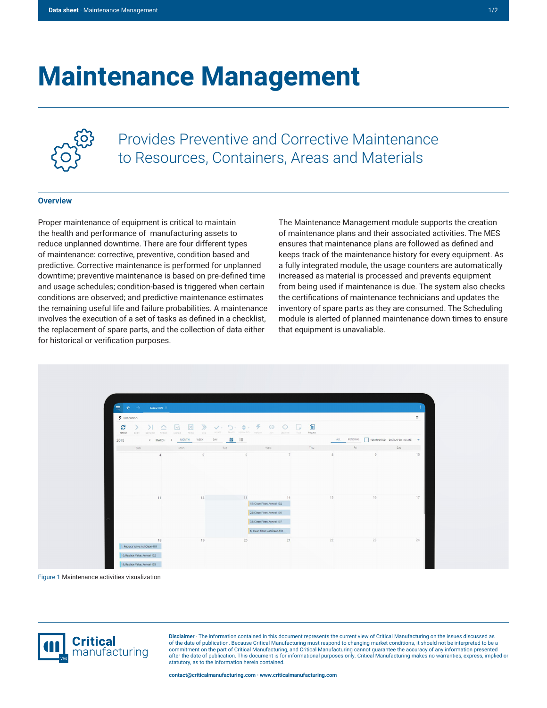## **Maintenance Management**



Provides Preventive and Corrective Maintenance to Resources, Containers, Areas and Materials

## **Overview**

Proper maintenance of equipment is critical to maintain the health and performance of manufacturing assets to reduce unplanned downtime. There are four different types of maintenance: corrective, preventive, condition based and predictive. Corrective maintenance is performed for unplanned downtime; preventive maintenance is based on pre-defined time and usage schedules; condition-based is triggered when certain conditions are observed; and predictive maintenance estimates the remaining useful life and failure probabilities. A maintenance involves the execution of a set of tasks as defined in a checklist, the replacement of spare parts, and the collection of data either for historical or verification purposes.

The Maintenance Management module supports the creation of maintenance plans and their associated activities. The MES ensures that maintenance plans are followed as defined and keeps track of the maintenance history for every equipment. As a fully integrated module, the usage counters are automatically increased as material is processed and prevents equipment from being used if maintenance is due. The system also checks the certifications of maintenance technicians and updates the inventory of spare parts as they are consumed. The Scheduling module is alerted of planned maintenance down times to ensure that equipment is unavaliable.



Figure 1 Maintenance activities visualization



**Disclaimer** · The information contained in this document represents the current view of Critical Manufacturing on the issues discussed as of the date of publication. Because Critical Manufacturing must respond to changing market conditions, it should not be interpreted to be a commitment on the part of Critical Manufacturing, and Critical Manufacturing cannot guarantee the accuracy of any information presented after the date of publication. This document is for informational purposes only. Critical Manufacturing makes no warranties, express, implied or statutory, as to the information herein contained.